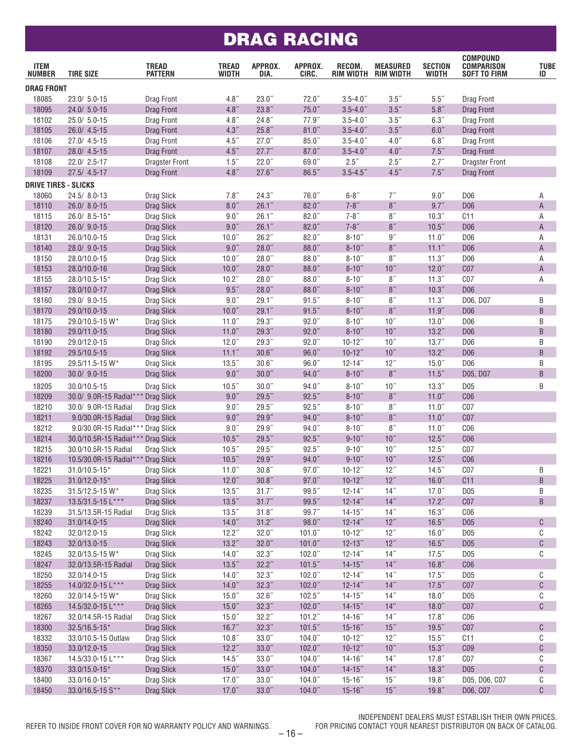#### DRAG RACING

| <b>ITEM</b><br><b>NUMBER</b> | <b>TIRE SIZE</b>                   | <b>TREAD</b><br><b>PATTERN</b> | <b>TREAD</b><br>WIDTH | APPROX.<br>DIA.    | APPROX.<br>CIRC.      | RECOM.<br>RIM WIDTH | <b>MEASURED</b><br><b>RIM WIDTH</b> | <b>SECTION</b><br>WIDTH | <b>COMPOUND</b><br><b>COMPARISON</b><br><b>SOFT TO FIRM</b> | <b>TUBE</b><br>ID |
|------------------------------|------------------------------------|--------------------------------|-----------------------|--------------------|-----------------------|---------------------|-------------------------------------|-------------------------|-------------------------------------------------------------|-------------------|
| <b>DRAG FRONT</b>            |                                    |                                |                       |                    |                       |                     |                                     |                         |                                                             |                   |
| 18085                        | 23.0/ 5.0-15                       | Drag Front                     | 4.8''                 | $23.0$ "           | $72.0$ "              | $3.5 - 4.0$ "       | 3.5''                               | 5.5''                   | Drag Front                                                  |                   |
| 18095                        | 24.0/ 5.0-15                       | Drag Front                     | 4.8''                 | 23.8''             | $75.0$ "              | $3.5 - 4.0$ "       | $3.5$ "                             | 5.8''                   | Drag Front                                                  |                   |
| 18102                        | 25.0/ 5.0-15                       | Drag Front                     | 4.8''                 | 24.8''             | 77.9"                 | $3.5 - 4.0$ "       | $3.5$ "                             | 6.3''                   | Drag Front                                                  |                   |
| 18105                        | 26.0/ 4.5-15                       | Drag Front                     | 4.3''                 | 25.8''             | 81.0''                | $3.5 - 4.0$ "       | 3.5''                               | 6.0''                   | Drag Front                                                  |                   |
| 18106                        | 27.0/ 4.5-15                       | Drag Front                     | 4.5''                 | 27.0"              | $85.0$ "              | $3.5 - 4.0$ "       | 4.0''                               | 6.8''                   | Drag Front                                                  |                   |
| 18107                        | 28.0/ 4.5-15                       | Drag Front                     | 4.5''                 | 27.7''             | 87.0''                | $3.5 - 4.0$ "       | 4.0''                               | $7.5$ $\,$              | Drag Front                                                  |                   |
| 18108                        | 22.0/ 2.5-17                       | <b>Dragster Front</b>          | 1.5''                 | 22.0"              | 69.0"                 | 2.5"                | 2.5''                               | 2.7''                   | <b>Dragster Front</b>                                       |                   |
| 18109                        | 27.5/ 4.5-17                       | Drag Front                     | 4.8''                 | 27.6"              | 86.5"                 | $3.5 - 4.5$         | 4.5''                               | 7.5''                   | Drag Front                                                  |                   |
| <b>DRIVE TIRES - SLICKS</b>  |                                    |                                |                       |                    |                       |                     |                                     |                         |                                                             |                   |
| 18060                        | 24.5/8.0-13                        | Drag Slick                     | 7.8''                 | 24.3''             | 76.0"                 | $6 - 8$ "           | 7''                                 | 9.0"                    | D <sub>06</sub>                                             | Α                 |
| 18110                        | 26.0/ 8.0-15                       | Drag Slick                     | 8.0''                 | 26.1''             | 82.0''                | $7 - 8"$            | $8''$                               | 9.7''                   | D <sub>06</sub>                                             | A                 |
| 18115                        | 26.0/ 8.5-15*                      | Drag Slick                     | 9.0"                  | 26.1"              | $82.0$ "              | $7 - 8"$            | $8\ensuremath{''}$                  | 10.3"                   | C11                                                         | Α                 |
| 18120                        | 26.0/ 9.0-15                       | Drag Slick                     | 9.0"                  | 26.1''             | $82.0$ "              | $7 - 8"$            | $8''$                               | 10.5"                   | D <sub>06</sub>                                             | $\mathsf{A}$      |
| 18131                        | 26.0/10.0-15                       | Drag Slick                     | 10.0 <sup>''</sup>    | 26.2"              | $82.0$ "              | $8 - 10$ "          | 9''                                 | 11.0"                   | D <sub>06</sub>                                             | Α                 |
| 18140                        | 28.0/ 9.0-15                       | <b>Drag Slick</b>              | $9.0$                 | $28.0$ "           | $88.0$ "              | $8 - 10$ "          | 8"                                  | 11.1''                  | D <sub>06</sub>                                             | A                 |
| 18150                        | 28.0/10.0-15                       | Drag Slick                     | 10.0 <sup>''</sup>    | 28.0"              | $88.0$ "              | $8 - 10$ "          | 8''                                 | 11.3 <sup>''</sup>      | D <sub>06</sub>                                             | Α                 |
| 18153                        | 28.0/10.0-16                       | Drag Slick                     | 10.0"                 | $28.0$ "           | $88.0$ "              | $8 - 10$ "          | 10''                                | 12.0''                  | C <sub>07</sub>                                             | A                 |
| 18155                        | 28.0/10.5-15*                      | Drag Slick                     | 10.2 <sup>''</sup>    | $28.0$ "           | $88.0$ "              | $8 - 10$ "          | $8''$                               | 11.3"                   | C <sub>07</sub>                                             | Α                 |
| 18157                        | 28.0/10.0-17                       | Drag Slick                     | $9.5$ "               | $28.0$ "           | $88.0$ "              | $8 - 10$ "          | $8''$                               | 10.3"                   | D <sub>06</sub>                                             |                   |
| 18160                        | 29.0/ 9.0-15                       | Drag Slick                     | 9.0''                 | 29.1''             | 91.5''                | $8 - 10$ "          | 8''                                 | 11.3''                  | D06, D07                                                    | B                 |
| 18170                        | 29.0/10.0-15                       | Drag Slick                     | 10.0"                 | 29.1''             | 91.5''                | $8 - 10$ "          | $8''$                               | 11.9''                  | D <sub>06</sub>                                             | B                 |
| 18175                        | 29.0/10.5-15 W*                    | Drag Slick                     | 11.0"                 | 29.3"              | $92.0$ "              | $8 - 10$ "          | 10 <sup>''</sup>                    | $13.0$ "                | D <sub>06</sub>                                             | B                 |
| 18180                        | 29.0/11.0-15                       | Drag Slick                     | 11.0''                | 29.3"              | 92.0"                 | $8 - 10$ "          | 10''                                | 13.2''                  | D <sub>06</sub>                                             | B                 |
| 18190                        | 29.0/12.0-15                       | Drag Slick                     | $12.0$ "              | 29.3"              | $92.0$ "              | $10 - 12$ "         | $10^{\prime\prime}$                 | 13.7''                  | D <sub>06</sub>                                             | B                 |
| 18192                        | 29.5/10.5-15                       | Drag Slick                     | 11.1 <sup>''</sup>    | 30.6"              | 96.0"                 | $10 - 12$ "         | 10''                                | 13.2''                  | D <sub>06</sub>                                             | B                 |
| 18195                        | 29.5/11.5-15 W*                    | Drag Slick                     | $13.5$ "              | 30.6''             | $96.0$ "              | $12 - 14$ "         | 12"                                 | 15.0''                  | D <sub>06</sub>                                             | B                 |
| 18200                        | 30.0/ 9.0-15                       | <b>Drag Slick</b>              | $9.0$                 | $30.0$ "           | 94.0''                | $8 - 10$ "          | $8''$                               | 11.5"                   | D05, D07                                                    | B                 |
| 18205                        | 30.0/10.5-15                       | Drag Slick                     | 10.5"                 | 30.0 <sup>''</sup> | $94.0$ "              | $8 - 10$ "          | $10^{\prime\prime}$                 | 13.3''                  | D <sub>05</sub>                                             | B                 |
| 18209                        | 30.0/ 9.0R-15 Radial**             | Drag Slick                     | $9.0$                 | $29.5$ "           | $92.5$ "              | $8 - 10$ "          | $8''$                               | 11.0''                  | C <sub>06</sub>                                             |                   |
| 18210                        | 30.0/ 9.0R-15 Radial               | Drag Slick                     | 9.0"                  | 29.5"              | $92.5$ "              | $8 - 10$ "          | 8''                                 | $11.0$ "                | C <sub>07</sub>                                             |                   |
| 18211                        | 9.0/30.0R-15 Radial                | Drag Slick                     | 9.0"                  | 29.9"              | 94.0"                 | $8 - 10$ "          | 8"                                  | 11.0"                   | C <sub>07</sub>                                             |                   |
| 18212                        | 9.0/30.0R-15 Radial***             | Drag Slick                     | 9.0''                 | 29.9"              | $94.0$ "              | $8 - 10$ "          | $8\ensuremath{''}$                  | $11.0$ "                | C <sub>06</sub>                                             |                   |
| 18214                        | 30.0/10.5R-15 Radial*** Drag Slick |                                | 10.5"                 | $29.5$ "           | $92.5$ "              | $9 - 10$ "          | 10''                                | $12.5$ "                | C <sub>06</sub>                                             |                   |
| 18215                        | 30.0/10.5R-15 Radial               | Drag Slick                     | 10.5''                | $29.5$ "           | $92.5$ "              | $9 - 10$ "          | 10 <sup>''</sup>                    | $12.5$ "                | C <sub>07</sub>                                             |                   |
| 18216                        | 10.5/30.0R-15 Radial**             | Drag Slick                     | 10.5"                 | 29.9"              | $94.0$ "              | $9 - 10$ "          | $10''$                              | $12.5$ "                | C <sub>06</sub>                                             |                   |
| 18221                        | 31.0/10.5-15*                      | Drag Slick                     | $11.0$ "              | 30.8 <sup>''</sup> | $97.0$ "              | $10 - 12$ "         | 12"                                 | $14.5$ "                | C <sub>07</sub>                                             | B                 |
| 18225                        | $31.0/12.0 - 15*$                  | <b>Drag Slick</b>              | 12.0''                | 30.8''             | 97.0"                 | $10 - 12$ "         | 12"                                 | 16.0"                   | C11                                                         | $\sf B$           |
| 18235                        | 31.5/12.5-15 W*                    | Drag Slick                     | 13.5''                | 31.7''             | 99.5''                | $12 - 14$ "         | 14"                                 | 17.0''                  | D <sub>05</sub>                                             | Β                 |
| 18237                        | 13.5/31.5-15 L***                  | Drag Slick                     | 13.5''                | 31.7''             | 99.5''                | $12 - 14"$          | $14"$                               | 17.2''                  | C <sub>07</sub>                                             | $\sf B$           |
| 18239                        | 31.5/13.5R-15 Radial               | Drag Slick                     | 13.5''                | 31.8''             | 99.7"                 | $14 - 15$ "         | $14"$                               | 16.3''                  | C <sub>06</sub>                                             |                   |
| 18240                        | 31.0/14.0-15                       | <b>Drag Slick</b>              | 14.0''                | 31.2''             | $98.0^{\prime\prime}$ | $12 - 14$ "         | $12''$                              | 16.5''                  | D <sub>05</sub>                                             | $\mathbb{C}$      |
| 18242                        | 32.0/12.0-15                       | Drag Slick                     | $12.2^{''}$           | 32.0''             | 101.0"                | $10 - 12$ "         | 12"                                 | 16.0"                   | D <sub>05</sub>                                             | С                 |
| 18243                        | 32.0/13.0-15                       | <b>Drag Slick</b>              | 13.2''                | 32.0''             | 101.0"                | $12 - 13$           | 12"                                 | 16.5''                  | D <sub>05</sub>                                             | C                 |
| 18245                        | 32.0/13.5-15 W*                    | Drag Slick                     | $14.0$ "              | 32.3''             | $102.0$ "             | $12 - 14$ "         | $14"$                               | $17.5$ "                | D <sub>05</sub>                                             | С                 |
| 18247                        | 32.0/13.5R-15 Radial               | Drag Slick                     | 13.5''                | 32.2''             | 101.5"                | $14 - 15$ "         | $14''$                              | 16.8''                  | C <sub>06</sub>                                             |                   |
| 18250                        | 32.0/14.0-15                       | Drag Slick                     | 14.0''                | 32.3''             | $102.0$ "             | $12 - 14$ "         | 14"                                 | $17.5$ "                | D <sub>05</sub>                                             | C                 |
| 18255                        | 14.0/32.0-15 L***                  | Drag Slick                     | 14.0''                | 32.3''             | 102.0"                | $12 - 14$ "         | $14''$                              | 17.5''                  | C <sub>07</sub>                                             | $\mathbb{C}$      |
| 18260                        | 32.0/14.5-15 W*                    | Drag Slick                     | 15.0 <sup>''</sup>    | 32.6''             | $102.5$ "             | $14 - 15$           | 14"                                 | $18.0$ "                | D <sub>05</sub>                                             | С                 |
| 18265                        | 14.5/32.0-15 L***                  | Drag Slick                     | 15.0''                | 32.3''             | 102.0"                | $14 - 15$           | 14"                                 | 18.0''                  | C <sub>07</sub>                                             | C                 |
| 18267                        | 32.0/14.5R-15 Radial               | Drag Slick                     | $15.0$ "              | 32.2''             | 101.2''               | $14 - 16$ "         | $14"$                               | 17.8''                  | C <sub>06</sub>                                             |                   |
| 18300                        | 32.5/16.5-15*                      | Drag Slick                     | 16.7''                | 32.3''             | 101.5"                | $15 - 16$ "         | $15''$                              | 19.5''                  | C <sub>07</sub>                                             | $\mathbb{C}$      |
| 18332                        | 33.0/10.5-15 Outlaw                | Drag Slick                     | 10.8''                | 33.0''             | $104.0$ "             | $10 - 12$ "         | 12"                                 | 15.5''                  | C11                                                         | C                 |
| 18350                        | 33.0/12.0-15                       | Drag Slick                     | 12.2''                | 33.0''             | $102.0$ "             | $10 - 12$ "         | $10''$                              | 15.3''                  | C <sub>09</sub>                                             | $\mathbb{C}$      |
| 18367                        | 14.5/33.0-15 L***                  | Drag Slick                     | $14.5$ "              | 33.0 <sup>''</sup> | $104.0$ "             | $14 - 16$ "         | 14"                                 | $17.8$ "                | C <sub>07</sub>                                             | С                 |
| 18370                        | 33.0/15.0-15*                      | Drag Slick                     | 15.0''                | 33.0''             | 104.0"                | $14 - 15$           | $14"$                               | 18.3''                  | D <sub>05</sub>                                             | C                 |
| 18400                        | 33.0/16.0-15*                      | Drag Slick                     | $17.0$ "              | $33.0$ "           | $104.0$ "             | $15 - 16$ "         | $15''$                              | $19.8$ "                | D05, D06, C07                                               | C                 |
| 18450                        | 33.0/16.5-15 S**                   | Drag Slick                     | $17.0$ "              | 33.0''             | $104.0$ "             | $15 - 16$ "         | $15''$                              | 19.8''                  | D06, C07                                                    | $\mathbb{C}$      |
|                              |                                    |                                |                       |                    |                       |                     |                                     |                         |                                                             |                   |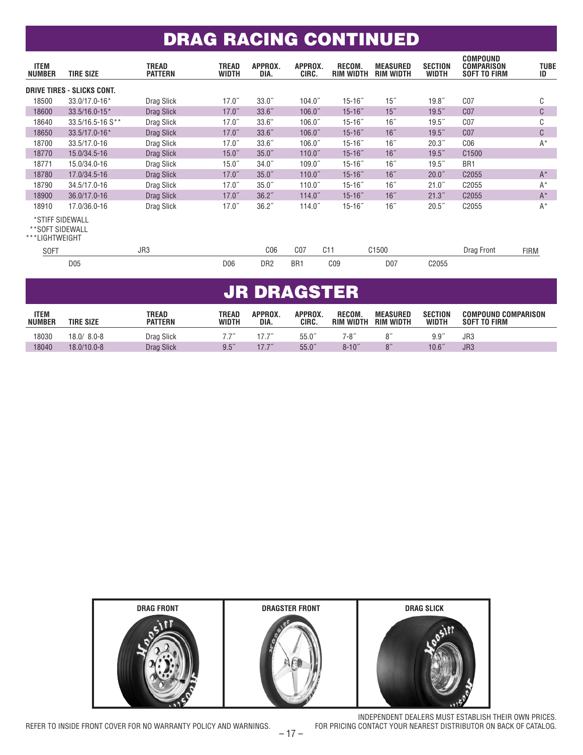### DRAG RACING CONTINUED

| <b>ITEM</b><br><b>NUMBER</b>                         | <b>TIRE SIZE</b>           | <b>TREAD</b><br><b>PATTERN</b> | <b>TREAD</b><br>WIDTH | APPROX.<br>DIA.    | APPROX.<br>CIRC.    | RECOM.<br><b>RIM WIDTH</b> | MEASURED<br><b>RIM WIDTH</b> | <b>SECTION</b><br><b>WIDTH</b> | <b>COMPOUND</b><br>COMPARISON<br>SOFT TO FIRM | <b>TUBE</b><br>ID |
|------------------------------------------------------|----------------------------|--------------------------------|-----------------------|--------------------|---------------------|----------------------------|------------------------------|--------------------------------|-----------------------------------------------|-------------------|
|                                                      | DRIVE TIRES - SLICKS CONT. |                                |                       |                    |                     |                            |                              |                                |                                               |                   |
| 18500                                                | 33.0/17.0-16*              | Drag Slick                     | 17.0"                 | 33.0 <sup>''</sup> | 104.0 <sup>''</sup> | $15 - 16$ "                | $15$ "                       | 19.8''                         | C <sub>07</sub>                               | C                 |
| 18600                                                | $33.5/16.0 - 15*$          | Drag Slick                     | $17.0$ "              | 33.6''             | 106.0 <sup>''</sup> | $15 - 16$ "                | $15$ "                       | $19.5$ "                       | C <sub>07</sub>                               | C                 |
| 18640                                                | 33.5/16.5-16 S**           | Drag Slick                     | 17.0"                 | 33.6"              | 106.0 <sup>7</sup>  | $15 - 16$ "                | 16"                          | $19.5$ "                       | C <sub>07</sub>                               | C                 |
| 18650                                                | 33.5/17.0-16*              | Drag Slick                     | 17.0''                | 33.6''             | 106.0 <sup>''</sup> | $15 - 16$ "                | 16"                          | $19.5$ "                       | C <sub>07</sub>                               | C                 |
| 18700                                                | 33.5/17.0-16               | Drag Slick                     | $17.0$ "              | 33.6''             | 106.0 <sup>7</sup>  | $15 - 16$ "                | 16"                          | 20.3"                          | C <sub>06</sub>                               | $A^*$             |
| 18770                                                | 15.0/34.5-16               | Drag Slick                     | 15.0''                | 35.0 <sup>''</sup> | 110.0 <sup>''</sup> | $15 - 16$ "                | 16"                          | $19.5$ "                       | C <sub>1500</sub>                             |                   |
| 18771                                                | 15.0/34.0-16               | Drag Slick                     | 15.0''                | 34.0''             | 109.0 <sup>''</sup> | $15 - 16$ "                | 16"                          | $19.5$ "                       | BR <sub>1</sub>                               |                   |
| 18780                                                | 17.0/34.5-16               | Drag Slick                     | 17.0''                | 35.0"              | 110.0 <sup>''</sup> | $15 - 16$ "                | 16"                          | 20.0"                          | C <sub>2055</sub>                             | $A^*$             |
| 18790                                                | 34.5/17.0-16               | Drag Slick                     | $17.0$ "              | 35.0 <sup>7</sup>  | 110.0 <sup>''</sup> | $15 - 16$ "                | 16"                          | 21.0"                          | C <sub>2055</sub>                             | $A^*$             |
| 18900                                                | 36.0/17.0-16               | Drag Slick                     | 17.0''                | 36.2 <sup>7</sup>  | 114.0 <sup>''</sup> | $15 - 16$ "                | 16"                          | 21.3"                          | C <sub>2055</sub>                             | $A^*$             |
| 18910                                                | 17.0/36.0-16               | Drag Slick                     | 17.0"                 | 36.2 <sup>7</sup>  | 114.0 <sup>''</sup> | $15 - 16$ "                | 16"                          | 20.5"                          | C2055                                         | $A^*$             |
| *STIFF SIDEWALL<br>**SOFT SIDEWALL<br>***LIGHTWEIGHT |                            |                                |                       |                    |                     |                            |                              |                                |                                               |                   |
| <b>SOFT</b>                                          |                            | JR3                            |                       | C <sub>06</sub>    | C <sub>07</sub>     | C11                        | C <sub>1500</sub>            |                                | Drag Front                                    | <b>FIRM</b>       |
|                                                      | D <sub>05</sub>            |                                | D <sub>06</sub>       | DR <sub>2</sub>    | BR <sub>1</sub>     | CO <sub>9</sub>            | D07                          | C2055                          |                                               |                   |

# JR DRAGSTER

| <b>ITEM</b><br><b>NUMBER</b> | <b>TIRE SIZE</b> | TREAD<br><b>PATTERN</b> | TREAD<br><b>WIDTH</b> | APPROX.<br>DIA. | APPROX.<br>CIRC. | RECOM.<br><b>RIM WIDTH</b> | <b>MEASURED</b><br><b>RIM WIDTH</b> | <b>SECTION</b><br><b>WIDTH</b> | <b>COMPOUND COMPARISON</b><br><b>TO FIRM</b><br>SOFT |
|------------------------------|------------------|-------------------------|-----------------------|-----------------|------------------|----------------------------|-------------------------------------|--------------------------------|------------------------------------------------------|
| 18030                        | $18.0/ 8.0 - 8$  | Drag Slick              |                       | 177''           | $55.0^{''}$      | 7-8″                       |                                     | 9.9                            | JR3                                                  |
| 18040                        | 18.0/10.0-8      | <b>Drag Slick</b>       | 9.5''                 | 17.7"           | 55.0"            | $8 - 10$ "                 |                                     | 10.6 <sup>''</sup>             | JR <sub>3</sub>                                      |



INDEPENDENT DEALERS MUST ESTABLISH THEIR OWN PRICES.<br>FOR PRICING CONTACT YOUR NEAREST DISTRIBUTOR ON BACK OF CATALOG.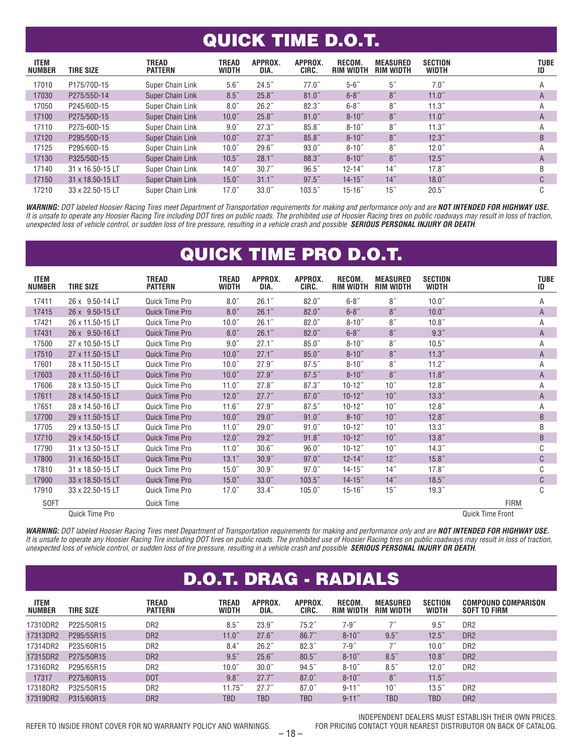### QUICK TIME D.O.T.

| <b>ITEM</b><br><b>NUMBER</b> | <b>TIRE SIZE</b> | TREAD<br><b>PATTERN</b> | <b>TREAD</b><br>WIDTH | APPROX.<br>DIA.    | APPROX.<br>CIRC.   | <b>RECOM.</b><br><b>RIM WIDTH</b> | <b>MEASURED</b><br><b>RIM WIDTH</b> | <b>SECTION</b><br><b>WIDTH</b> | <b>TUBE</b><br>ID |
|------------------------------|------------------|-------------------------|-----------------------|--------------------|--------------------|-----------------------------------|-------------------------------------|--------------------------------|-------------------|
| 17010                        | P175/70D-15      | Super Chain Link        | 5.6''                 | 24.5"              | 77.0"              | $5 - 6$ "                         | 5 <sup>''</sup>                     | 7.0''                          | А                 |
| 17030                        | P275/55D-14      | <b>Super Chain Link</b> | 8.5''                 | 25.8''             | $81.0$ "           | $6 - 8$ "                         | 8''                                 | 11.0"                          | A                 |
| 17050                        | P245/60D-15      | Super Chain Link        | 8.0''                 | 26.2"              | 82.3''             | $6 - 8$ "                         | $8^{\prime\prime}$                  | 11.3''                         | Α                 |
| 17100                        | P275/50D-15      | Super Chain Link        | 10.0 <sup>''</sup>    | 25.8''             | $81.0$ "           | $8 - 10$ "                        | 8''                                 | 11.0"                          | A                 |
| 17110                        | P275-60D-15      | Super Chain Link        | 9.0''                 | 27.3"              | 85.8''             | $8 - 10$ "                        | 8''                                 | 11.3''                         | A                 |
| 17120                        | P295/50D-15      | Super Chain Link        | 10.0"                 | 27.3''             | 85.8''             | $8 - 10$ "                        | 8''                                 | 12.3''                         | B                 |
| 17125                        | P295/60D-15      | Super Chain Link        | 10.0 <sup>''</sup>    | $29.6$ "           | $93.0^{''}$        | $8 - 10$ "                        | 8''                                 | $12.0$ "                       | А                 |
| 17130                        | P325/50D-15      | Super Chain Link        | 10.5 <sup>''</sup>    | 28.1"              | 88.3"              | $8 - 10$ "                        | 8''                                 | $12.5$ "                       | A                 |
| 17140                        | 31 x 16.50-15 LT | Super Chain Link        | 14.0 <sup>''</sup>    | 30.7"              | 96.5''             | $12 - 14$ "                       | 14"                                 | $17.8$ "                       | B                 |
| 17150                        | 31 x 18.50-15 LT | Super Chain Link        | 15.0"                 | 31.1''             | $97.5^{\circ}$     | $14 - 15$                         | 14"                                 | $18.0^{''}$                    | C                 |
| 17210                        | 33 x 22.50-15 LT | Super Chain Link        | $17.0^{''}$           | 33.0 <sup>''</sup> | 103.5 <sup>7</sup> | $15 - 16$ "                       | 15"                                 | 20.5"                          | C                 |

*WARNING: DOT labeled Hoosier Racing Tires meet Department of Transportation requirements for making and performance only and are NOT INTENDED FOR HIGHWAY USE. It is unsafe to operate any Hoosier Racing Tire including DOT tires on public roads. The prohibited use of Hoosier Racing tires on public roadways may result in loss of traction, unexpected loss of vehicle control, or sudden loss of tire pressure, resulting in a vehicle crash and possible SERIOUS PERSONAL INJURY OR DEATH.*

## QUICK TIME PRO D.O.T.

| <b>ITEM</b><br><b>NUMBER</b> | <b>TIRE SIZE</b> | TREAD<br><b>PATTERN</b> | TREAD<br><b>WIDTH</b> | APPROX.<br>DIA.    | APPROX.<br>CIRC.    | RECOM.<br><b>RIM WIDTH</b> | <b>MEASURED</b><br><b>RIM WIDTH</b> | <b>SECTION</b><br><b>WIDTH</b> |                         | <b>TUBE</b><br>ID |
|------------------------------|------------------|-------------------------|-----------------------|--------------------|---------------------|----------------------------|-------------------------------------|--------------------------------|-------------------------|-------------------|
| 17411                        | 26 x 9.50-14 LT  | Quick Time Pro          | 8.0''                 | 26.1''             | $82.0$ "            | $6 - 8$ "                  | 8''                                 | 10.0 <sup>''</sup>             |                         | A                 |
| 17415                        | 26 x 9.50-15 LT  | Quick Time Pro          | 8.0''                 | 26.1''             | $82.0$ "            | $6 - 8"$                   | 8''                                 | 10.0 <sup>''</sup>             |                         | Α                 |
| 17421                        | 26 x 11.50-15 LT | Quick Time Pro          | 10.0 <sup>''</sup>    | 26.1"              | $82.0^{''}$         | $8 - 10$ "                 | 8''                                 | 10.8 <sup>''</sup>             |                         | A                 |
| 17431                        | 26 x 9.50-16 LT  | <b>Quick Time Pro</b>   | 8.0''                 | 26.1''             | $82.0$ "            | $6 - 8"$                   | 8''                                 | 9.3"                           |                         | A                 |
| 17500                        | 27 x 10.50-15 LT | Quick Time Pro          | 9.0''                 | 27.1"              | $85.0^{''}$         | $8 - 10$ "                 | 8''                                 | 10.5 <sup>''</sup>             |                         | A                 |
| 17510                        | 27 x 11.50-15 LT | Quick Time Pro          | 10.0"                 | 27.1"              | $85.0$ "            | $8 - 10$ "                 | 8''                                 | 11.3''                         |                         | Α                 |
| 17601                        | 28 x 11.50-15 LT | Quick Time Pro          | 10.0 <sup>''</sup>    | 27.9"              | $87.5^{''}$         | $8 - 10$ "                 | 8''                                 | 11.2 <sup>7</sup>              |                         | Α                 |
| 17603                        | 28 x 11.50-16 LT | Quick Time Pro          | 10.0"                 | 27.9"              | 87.5''              | $8 - 10$ "                 | 8''                                 | 11.8''                         |                         | Α                 |
| 17606                        | 28 x 13.50-15 LT | Quick Time Pro          | $11.0$ "              | 27.8"              | 87.3''              | $10 - 12$ "                | 10 <sup>''</sup>                    | $12.8^{''}$                    |                         | Α                 |
| 17611                        | 28 x 14.50-15 LT | Quick Time Pro          | $12.0$ "              | 27.7"              | $87.0$ "            | $10 - 12$ "                | 10 <sup>''</sup>                    | 13.3''                         |                         | Α                 |
| 17651                        | 28 x 14.50-16 LT | Quick Time Pro          | 11.6"                 | 27.9"              | $87.5$ "            | $10 - 12$ "                | 10 <sup>''</sup>                    | 12.8''                         |                         | Α                 |
| 17700                        | 29 x 11.50-15 LT | Quick Time Pro          | 10.0 <sup>''</sup>    | 29.0"              | 91.0"               | $8 - 10$ "                 | 10"                                 | 12.8''                         |                         | B                 |
| 17705                        | 29 x 13.50-15 LT | Quick Time Pro          | $11.0$ "              | $29.0$ "           | $91.0$ "            | $10 - 12$ "                | 10 <sup>''</sup>                    | 13.3''                         |                         | B                 |
| 17710                        | 29 x 14.50-15 LT | Quick Time Pro          | $12.0$ "              | 29.2"              | 91.8"               | $10 - 12$ "                | 10"                                 | 13.8''                         |                         | B                 |
| 17790                        | 31 x 13.50-15 LT | Quick Time Pro          | $11.0$ "              | 30.6 <sup>''</sup> | 96.0"               | $10 - 12$ "                | 10"                                 | 14.3''                         |                         | C                 |
| 17800                        | 31 x 16.50-15 LT | Quick Time Pro          | 13.1 <sup>''</sup>    | 30.9''             | $97.0$ "            | $12 - 14$ "                | 12"                                 | 15.8''                         |                         | C                 |
| 17810                        | 31 x 18.50-15 LT | Quick Time Pro          | $15.0$ "              | 30.9''             | $97.0$ "            | $14 - 15$ "                | 14"                                 | $17.8^{''}$                    |                         | C                 |
| 17900                        | 33 x 18.50-15 LT | <b>Quick Time Pro</b>   | $15.0$ "              | 33.0 <sup>''</sup> | 103.5 <sup>''</sup> | $14 - 15$ "                | 14"                                 | 18.5''                         |                         | C                 |
| 17910                        | 33 x 22.50-15 LT | Quick Time Pro          | $17.0$ "              | 33.4''             | 105.0 <sup>''</sup> | $15 - 16$ "                | $15$ "                              | 19.3''                         |                         | C                 |
| <b>SOFT</b>                  |                  | Quick Time              |                       |                    |                     |                            |                                     |                                | <b>FIRM</b>             |                   |
|                              | Quick Time Pro   |                         |                       |                    |                     |                            |                                     |                                | <b>Quick Time Front</b> |                   |

*WARNING: DOT labeled Hoosier Racing Tires meet Department of Transportation requirements for making and performance only and are NOT INTENDED FOR HIGHWAY USE. It is unsafe to operate any Hoosier Racing Tire including DOT tires on public roads. The prohibited use of Hoosier Racing tires on public roadways may result in loss of traction, unexpected loss of vehicle control, or sudden loss of tire pressure, resulting in a vehicle crash and possible SERIOUS PERSONAL INJURY OR DEATH.*

| <b>D.O.T. DRAG - RADIALS</b> |                  |                                |                       |                   |                  |                            |                                     |                                |                                                   |  |  |
|------------------------------|------------------|--------------------------------|-----------------------|-------------------|------------------|----------------------------|-------------------------------------|--------------------------------|---------------------------------------------------|--|--|
| <b>ITEM</b><br><b>NUMBER</b> | <b>TIRE SIZE</b> | <b>TREAD</b><br><b>PATTERN</b> | TREAD<br><b>WIDTH</b> | APPROX.<br>DIA.   | APPROX.<br>CIRC. | RECOM.<br><b>RIM WIDTH</b> | <b>MEASURED</b><br><b>RIM WIDTH</b> | <b>SECTION</b><br><b>WIDTH</b> | <b>COMPOUND COMPARISON</b><br><b>SOFT TO FIRM</b> |  |  |
| 17310DR2                     | P225/50R15       | DR <sub>2</sub>                | 8.5''                 | 23.9''            | $75.2^{''}$      | $7 - 9"$                   |                                     | $9.5^{''}$                     | DR <sub>2</sub>                                   |  |  |
| 17313DR2                     | P295/55R15       | DR <sub>2</sub>                | 11.0"                 | 27.6"             | 86.7''           | $8 - 10$ "                 | 9.5''                               | $12.5$ "                       | DR <sub>2</sub>                                   |  |  |
| 17314DR2                     | P235/60R15       | DR <sub>2</sub>                | 8.4''                 | 26.2"             | 82.3''           | $7 - 9''$                  | 7''                                 | 10.0 <sup>''</sup>             | DR <sub>2</sub>                                   |  |  |
| 17315DR2                     | P275/50R15       | DR <sub>2</sub>                | 9.5''                 | 25.6"             | 80.5''           | $8 - 10$ "                 | 8.5''                               | 10.8 <sup>''</sup>             | D <sub>R2</sub>                                   |  |  |
| 17316DR2                     | P295/65R15       | DR <sub>2</sub>                | 10.0 <sup>''</sup>    | 30.0 <sup>7</sup> | 94.5"            | $8 - 10$ "                 | 8.5''                               | $12.0$ "                       | DR <sub>2</sub>                                   |  |  |
| 17317                        | P275/60R15       | <b>DOT</b>                     | 9.8''                 | 27.7"             | $87.0$ "         | $8 - 10$ "                 | 8 <sup>''</sup>                     | $11.5$ "                       |                                                   |  |  |
| 17318DR2                     | P325/50R15       | DR <sub>2</sub>                | 11.75''               | 27.7"             | $87.0^{''}$      | $9 - 11$ "                 | 10''                                | $13.5$ "                       | DR <sub>2</sub>                                   |  |  |
| 17319DR2                     | P315/60R15       | DR <sub>2</sub>                | TBD                   | <b>TBD</b>        | TBD.             | $9 - 11$ "                 | <b>TBD</b>                          | TBD                            | DR <sub>2</sub>                                   |  |  |
|                              |                  |                                |                       |                   |                  |                            |                                     |                                |                                                   |  |  |

REFER TO INSIDE FRONT COVER FOR NO WARRANTY POLICY AND WARNINGS.

INDEPENDENT DEALERS MUST ESTABLISH THEIR OWN PRICES.<br>FOR PRICING CONTACT YOUR NEAREST DISTRIBUTOR ON BACK OF CATALOG.